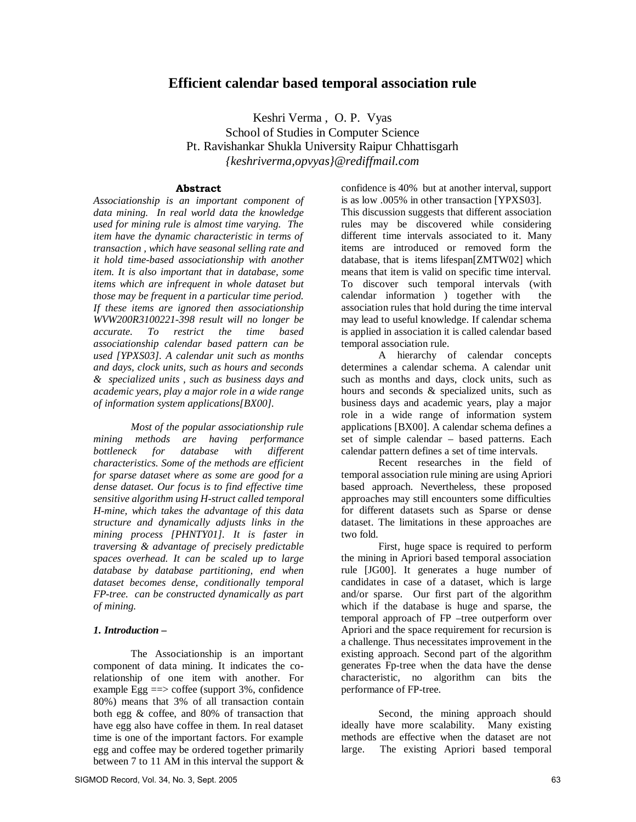# **Efficient calendar based temporal association rule**

Keshri Verma , O. P. Vyas School of Studies in Computer Science Pt. Ravishankar Shukla University Raipur Chhattisgarh *{keshriverma,opvyas}@rediffmail.com*

### **Abstract**

*Associationship is an important component of data mining. In real world data the knowledge used for mining rule is almost time varying. The item have the dynamic characteristic in terms of transaction , which have seasonal selling rate and it hold time-based associationship with another item. It is also important that in database, some items which are infrequent in whole dataset but those may be frequent in a particular time period. If these items are ignored then associationship WVW200R3100221-398 result will no longer be accurate. To restrict the time based associationship calendar based pattern can be used [YPXS03]. A calendar unit such as months and days, clock units, such as hours and seconds & specialized units , such as business days and academic years, play a major role in a wide range of information system applications[BX00].* 

*Most of the popular associationship rule mining methods are having performance bottleneck for database with different characteristics. Some of the methods are efficient for sparse dataset where as some are good for a dense dataset. Our focus is to find effective time sensitive algorithm using H-struct called temporal H-mine, which takes the advantage of this data structure and dynamically adjusts links in the mining process [PHNTY01]. It is faster in traversing & advantage of precisely predictable spaces overhead. It can be scaled up to large database by database partitioning, end when dataset becomes dense, conditionally temporal FP-tree. can be constructed dynamically as part of mining.* 

#### *1. Introduction –*

The Associationship is an important component of data mining. It indicates the corelationship of one item with another. For example Egg ==> coffee (support 3%, confidence 80%) means that 3% of all transaction contain both egg & coffee, and 80% of transaction that have egg also have coffee in them. In real dataset time is one of the important factors. For example egg and coffee may be ordered together primarily between 7 to 11 AM in this interval the support  $\&$  confidence is 40% but at another interval, support is as low .005% in other transaction [YPXS03]. This discussion suggests that different association rules may be discovered while considering different time intervals associated to it. Many items are introduced or removed form the database, that is items lifespan[ZMTW02] which means that item is valid on specific time interval. To discover such temporal intervals (with calendar information ) together with the association rules that hold during the time interval may lead to useful knowledge. If calendar schema is applied in association it is called calendar based temporal association rule.

A hierarchy of calendar concepts determines a calendar schema. A calendar unit such as months and days, clock units, such as hours and seconds & specialized units, such as business days and academic years, play a major role in a wide range of information system applications [BX00]. A calendar schema defines a set of simple calendar – based patterns. Each calendar pattern defines a set of time intervals.

Recent researches in the field of temporal association rule mining are using Apriori based approach. Nevertheless, these proposed approaches may still encounters some difficulties for different datasets such as Sparse or dense dataset. The limitations in these approaches are two fold.

First, huge space is required to perform the mining in Apriori based temporal association rule [JG00]. It generates a huge number of candidates in case of a dataset, which is large and/or sparse. Our first part of the algorithm which if the database is huge and sparse, the temporal approach of FP –tree outperform over Apriori and the space requirement for recursion is a challenge. Thus necessitates improvement in the existing approach. Second part of the algorithm generates Fp-tree when the data have the dense characteristic, no algorithm can bits the performance of FP-tree.

Second, the mining approach should ideally have more scalability. Many existing methods are effective when the dataset are not large. The existing Apriori based temporal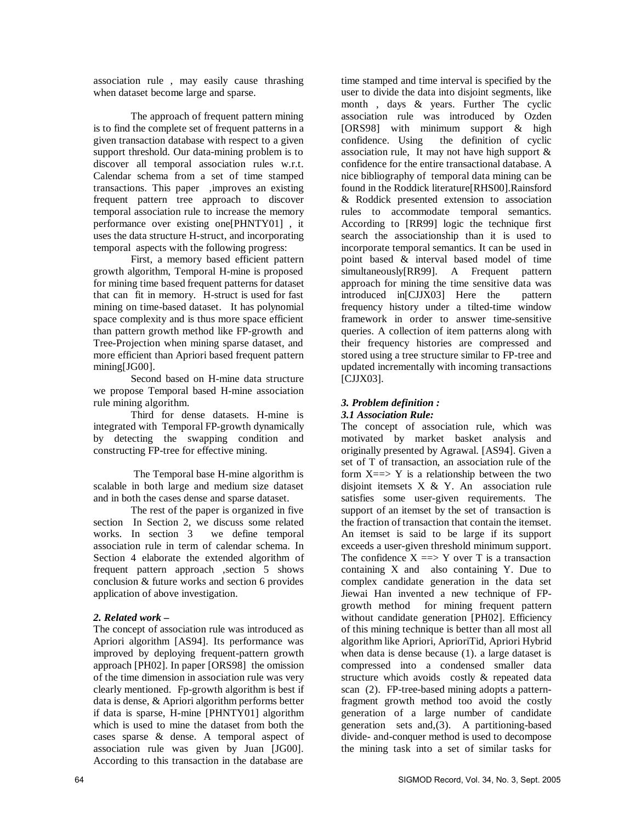association rule , may easily cause thrashing when dataset become large and sparse.

The approach of frequent pattern mining is to find the complete set of frequent patterns in a given transaction database with respect to a given support threshold. Our data-mining problem is to discover all temporal association rules w.r.t. Calendar schema from a set of time stamped transactions. This paper ,improves an existing frequent pattern tree approach to discover temporal association rule to increase the memory performance over existing one[PHNTY01] , it uses the data structure H-struct, and incorporating temporal aspects with the following progress:

First, a memory based efficient pattern growth algorithm, Temporal H-mine is proposed for mining time based frequent patterns for dataset that can fit in memory. H-struct is used for fast mining on time-based dataset. It has polynomial space complexity and is thus more space efficient than pattern growth method like FP-growth and Tree-Projection when mining sparse dataset, and more efficient than Apriori based frequent pattern mining[JG00].

Second based on H-mine data structure we propose Temporal based H-mine association rule mining algorithm.

Third for dense datasets. H-mine is integrated with Temporal FP-growth dynamically by detecting the swapping condition and constructing FP-tree for effective mining.

 The Temporal base H-mine algorithm is scalable in both large and medium size dataset and in both the cases dense and sparse dataset.

The rest of the paper is organized in five section In Section 2, we discuss some related works. In section 3 we define temporal association rule in term of calendar schema. In Section 4 elaborate the extended algorithm of frequent pattern approach ,section 5 shows conclusion & future works and section 6 provides application of above investigation.

### *2. Related work –*

The concept of association rule was introduced as Apriori algorithm [AS94]. Its performance was improved by deploying frequent-pattern growth approach [PH02]. In paper [ORS98] the omission of the time dimension in association rule was very clearly mentioned. Fp-growth algorithm is best if data is dense, & Apriori algorithm performs better if data is sparse, H-mine [PHNTY01] algorithm which is used to mine the dataset from both the cases sparse & dense. A temporal aspect of association rule was given by Juan [JG00]. According to this transaction in the database are

time stamped and time interval is specified by the user to divide the data into disjoint segments, like month , days & years. Further The cyclic association rule was introduced by Ozden [ORS98] with minimum support & high confidence. Using the definition of cyclic association rule, It may not have high support & confidence for the entire transactional database. A nice bibliography of temporal data mining can be found in the Roddick literature[RHS00].Rainsford & Roddick presented extension to association rules to accommodate temporal semantics. According to [RR99] logic the technique first search the associationship than it is used to incorporate temporal semantics. It can be used in point based & interval based model of time simultaneously[RR99]. A Frequent pattern approach for mining the time sensitive data was introduced in[CJJX03] Here the pattern frequency history under a tilted-time window framework in order to answer time-sensitive queries. A collection of item patterns along with their frequency histories are compressed and stored using a tree structure similar to FP-tree and updated incrementally with incoming transactions [CJJX03].

## *3. Problem definition :*

### *3.1 Association Rule:*

The concept of association rule, which was motivated by market basket analysis and originally presented by Agrawal. [AS94]. Given a set of T of transaction, an association rule of the form  $X \implies Y$  is a relationship between the two disjoint itemsets X & Y. An association rule satisfies some user-given requirements. The support of an itemset by the set of transaction is the fraction of transaction that contain the itemset. An itemset is said to be large if its support exceeds a user-given threshold minimum support. The confidence  $X \implies Y$  over T is a transaction containing X and also containing Y. Due to complex candidate generation in the data set Jiewai Han invented a new technique of FPgrowth method for mining frequent pattern without candidate generation [PH02]. Efficiency of this mining technique is better than all most all algorithm like Apriori, AprioriTid, Apriori Hybrid when data is dense because (1). a large dataset is compressed into a condensed smaller data structure which avoids costly & repeated data scan (2). FP-tree-based mining adopts a patternfragment growth method too avoid the costly generation of a large number of candidate generation sets and,(3). A partitioning-based divide- and-conquer method is used to decompose the mining task into a set of similar tasks for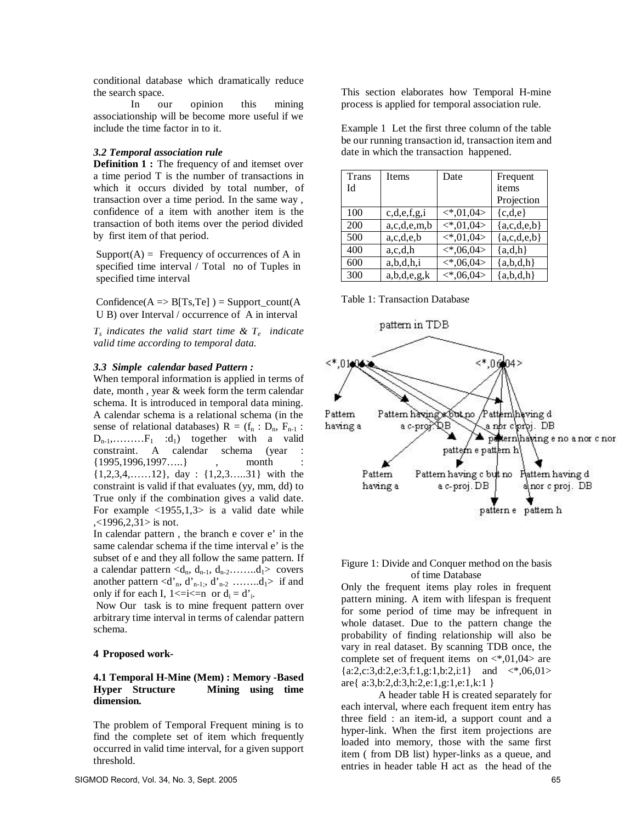conditional database which dramatically reduce the search space.

In our opinion this mining associationship will be become more useful if we include the time factor in to it.

#### *3.2 Temporal association rule*

**Definition 1 :** The frequency of and itemset over a time period T is the number of transactions in which it occurs divided by total number, of transaction over a time period. In the same way , confidence of a item with another item is the transaction of both items over the period divided by first item of that period.

 $Support(A) = Frequency of occurrences of A in$ specified time interval / Total no of Tuples in specified time interval

 $Confidence(A \Rightarrow B[Ts,Te]) = Support\_count(A)$ U B) over Interval / occurrence of A in interval

*Ts indicates the valid start time & T<sup>e</sup> indicate valid time according to temporal data.*

#### *3.3 Simple calendar based Pattern :*

When temporal information is applied in terms of date, month , year & week form the term calendar schema. It is introduced in temporal data mining. A calendar schema is a relational schema (in the sense of relational databases)  $R = (f_n : D_n, F_{n-1} :$  $D_{n-1}, \ldots, F_1$  :d<sub>1</sub>) together with a valid constraint. A calendar schema (year :  ${1995,1996,1997...}$ , month {1,2,3,4,… … 12}, day : {1,2,3… ..31} with the constraint is valid if that evaluates (yy, mm, dd) to True only if the combination gives a valid date. For example  $\langle 1955, 1, 3 \rangle$  is a valid date while  $\langle$  (1996,2,31 > is not.

In calendar pattern , the branch e cover e' in the same calendar schema if the time interval e' is the subset of e and they all follow the same pattern. If a calendar pattern  $\langle d_n, d_{n-1}, d_{n-2}$ ….........d<sub>1</sub>> covers another pattern  $\langle d \rangle_n$ ,  $d \rangle_{n-1}$ ;,  $d \rangle_{n-2}$  …....... $d_1$ > if and only if for each I,  $1 \le i \le n$  or  $d_i = d_i$ .

 Now Our task is to mine frequent pattern over arbitrary time interval in terms of calendar pattern schema.

### **4 Proposed work-**

#### **4.1 Temporal H-Mine (Mem) : Memory -Based Hyper Structure Mining using time dimension.**

The problem of Temporal Frequent mining is to find the complete set of item which frequently occurred in valid time interval, for a given support threshold.

SIGMOD Record, Vol. 34, No. 3, Sept. 2005 65

This section elaborates how Temporal H-mine process is applied for temporal association rule.

Example 1 Let the first three column of the table be our running transaction id, transaction item and date in which the transaction happened.

| Trans | <b>Items</b>     | Date                        | Frequent      |
|-------|------------------|-----------------------------|---------------|
| Id    |                  |                             | items         |
|       |                  |                             | Projection    |
| 100   | c,d,e,f,g,i      | $\langle 1,04 \rangle$      | ${c,d,e}$     |
| 200   | a, c, d, e, m, b | $\langle *, 01, 04 \rangle$ | ${a,c,d,e,b}$ |
| 500   | a, c, d, e, b    | $\langle *, 01, 04 \rangle$ | ${a,c,d,e,b}$ |
| 400   | a,c,d,h          | $\langle *, 06, 04 \rangle$ | ${a,d,h}$     |
| 600   | a,b,d,h,i        | $\langle *, 06, 04 \rangle$ | ${a,b,d,h}$   |
| 300   | a,b,d,e,g,k      | $\langle *, 06, 04 \rangle$ | ${a,b,d,h}$   |

Table 1: Transaction Database



#### Figure 1: Divide and Conquer method on the basis of time Database

Only the frequent items play roles in frequent pattern mining. A item with lifespan is frequent for some period of time may be infrequent in whole dataset. Due to the pattern change the probability of finding relationship will also be vary in real dataset. By scanning TDB once, the complete set of frequent items on  $\langle 0.04 \rangle$  are  ${a:2,c:3,d:2,e:3,f:1,g:1,b:2,i:1}$  and  $\langle *0.6,01 \rangle$ are{ a:3,b:2,d:3,h:2,e:1,g:1,e:1,k:1 }

A header table H is created separately for each interval, where each frequent item entry has three field : an item-id, a support count and a hyper-link. When the first item projections are loaded into memory, those with the same first item ( from DB list) hyper-links as a queue, and entries in header table H act as the head of the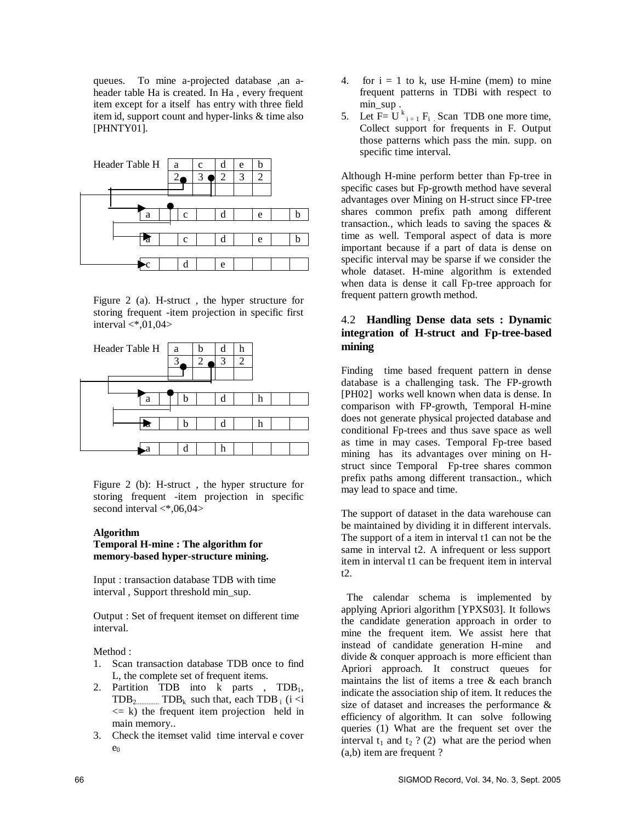queues. To mine a-projected database ,an aheader table Ha is created. In Ha , every frequent item except for a itself has entry with three field item id, support count and hyper-links & time also [PHNTY01].



Figure 2 (a). H-struct , the hyper structure for storing frequent -item projection in specific first interval  $\langle *, 01, 04 \rangle$ 



Figure 2 (b): H-struct , the hyper structure for storing frequent -item projection in specific second interval  $\langle *, 06, 04 \rangle$ 

#### **Algorithm**

### **Temporal H-mine : The algorithm for memory-based hyper-structure mining.**

Input : transaction database TDB with time interval , Support threshold min\_sup.

Output : Set of frequent itemset on different time interval.

Method :

- 1. Scan transaction database TDB once to find L, the complete set of frequent items.
- 2. Partition TDB into k parts , TDB<sub>1</sub>, TDB2............. TDBk such that, each TDB i (i <i  $\leq$  k) the frequent item projection held in main memory..
- 3. Check the itemset valid time interval e cover  $e_0$
- 4. for  $i = 1$  to k, use H-mine (mem) to mine frequent patterns in TDBi with respect to min\_sup .
- 5. Let  $F = U^k_{i=1} F_i$ . Scan TDB one more time, Collect support for frequents in F. Output those patterns which pass the min. supp. on specific time interval.

Although H-mine perform better than Fp-tree in specific cases but Fp-growth method have several advantages over Mining on H-struct since FP-tree shares common prefix path among different transaction., which leads to saving the spaces  $\&$ time as well. Temporal aspect of data is more important because if a part of data is dense on specific interval may be sparse if we consider the whole dataset. H-mine algorithm is extended when data is dense it call Fp-tree approach for frequent pattern growth method.

## 4.2 **Handling Dense data sets : Dynamic integration of H-struct and Fp-tree-based mining**

Finding time based frequent pattern in dense database is a challenging task. The FP-growth [PH02] works well known when data is dense. In comparison with FP-growth, Temporal H-mine does not generate physical projected database and conditional Fp-trees and thus save space as well as time in may cases. Temporal Fp-tree based mining has its advantages over mining on Hstruct since Temporal Fp-tree shares common prefix paths among different transaction., which may lead to space and time.

The support of dataset in the data warehouse can be maintained by dividing it in different intervals. The support of a item in interval t1 can not be the same in interval t2. A infrequent or less support item in interval t1 can be frequent item in interval t2.

 The calendar schema is implemented by applying Apriori algorithm [YPXS03]. It follows the candidate generation approach in order to mine the frequent item. We assist here that instead of candidate generation H-mine and divide & conquer approach is more efficient than Apriori approach. It construct queues for maintains the list of items a tree & each branch indicate the association ship of item. It reduces the size of dataset and increases the performance & efficiency of algorithm. It can solve following queries (1) What are the frequent set over the interval  $t_1$  and  $t_2$  ? (2) what are the period when (a,b) item are frequent ?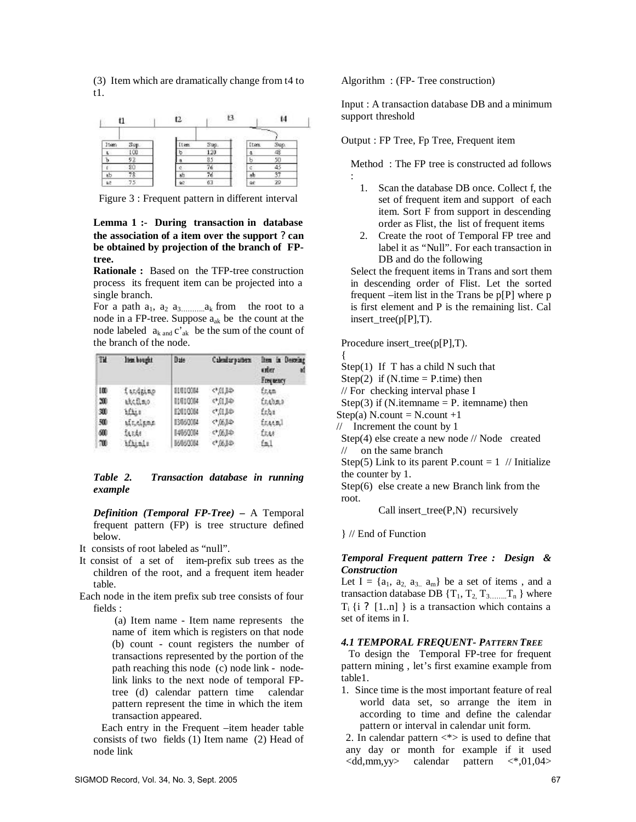(3) Item which are dramatically change from t4 to t1.



Figure 3 : Frequent pattern in different interval

### **Lemma 1 :- During transaction in database the association of a item over the support ? can be obtained by projection of the branch of FPtree.**

**Rationale :** Based on the TFP-tree construction process its frequent item can be projected into a single branch.

For a path a1, a2 a3……… ..ak from the root to a node in a FP-tree. Suppose aak be the count at the node labeled  $a_{k \text{ and } c'_{ak}}$  be the sum of the count of the branch of the node.

| Tit. | lten bought | Date     | Calendaryatters | lien in Descein;<br>uter<br>Егорносу |
|------|-------------|----------|-----------------|--------------------------------------|
| 100  | fandaino    | 11010084 | 40.0            | fran                                 |
| 20   | atchao      | 10010004 | 中川半             | frabas                               |
| 30   | ifiis       | 12010084 | 中田島             | fr.bs                                |
| 500  | utrainme    | 13060004 | 0.015           | fracel                               |
| 600  | facta       | 14950014 | ¢1,00.9         | <b>EEAR</b>                          |
| 700  | iftinle     | 86860084 | 0.005           | fall                                 |

#### *Table 2. Transaction database in running example*

*Definition (Temporal FP-Tree) –* A Temporal frequent pattern (FP) is tree structure defined below.

It consists of root labeled as "null".

- It consist of a set of item-prefix sub trees as the children of the root, and a frequent item header table.
- Each node in the item prefix sub tree consists of four fields :

 (a) Item name - Item name represents the name of item which is registers on that node (b) count - count registers the number of transactions represented by the portion of the path reaching this node (c) node link - nodelink links to the next node of temporal FPtree (d) calendar pattern time calendar pattern represent the time in which the item transaction appeared.

 Each entry in the Frequent –item header table consists of two fields (1) Item name (2) Head of node link

Algorithm : (FP- Tree construction)

Input : A transaction database DB and a minimum support threshold

Output : FP Tree, Fp Tree, Frequent item

Method : The FP tree is constructed ad follows :

- 1. Scan the database DB once. Collect f, the set of frequent item and support of each item. Sort F from support in descending order as Flist, the list of frequent items
- 2. Create the root of Temporal FP tree and label it as "Null". For each transaction in DB and do the following

Select the frequent items in Trans and sort them in descending order of Flist. Let the sorted frequent –item list in the Trans be  $p[P]$  where  $p$ is first element and P is the remaining list. Cal insert\_tree(p[P],T).

Procedure insert\_tree(p[P],T).

{

Step $(1)$  If T has a child N such that

- Step $(2)$  if  $(N.time = P.time)$  then
- // For checking interval phase I

Step(3) if (N.itemname  $=$  P. itemname) then

Step(a) N.count = N.count  $+1$ 

// Increment the count by 1

Step(4) else create a new node // Node created // on the same branch

Step(5) Link to its parent P.count =  $1$  // Initialize the counter by 1.

Step(6) else create a new Branch link from the root.

Call insert  $tree(P,N)$  recursively

} // End of Function

### *Temporal Frequent pattern Tree : Design & Construction*

Let  $I = \{a_1, a_2, a_3, a_m\}$  be a set of items, and a transaction database DB  $\{T_1, T_2, T_3, \dots, T_n\}$  where  $T_i$  {i ? [1..n] } is a transaction which contains a set of items in I.

### *4.1 TEMPORAL FREQUENT- PATTERN TREE*

 To design the Temporal FP-tree for frequent pattern mining , let's first examine example from table1.

1. Since time is the most important feature of real world data set, so arrange the item in according to time and define the calendar pattern or interval in calendar unit form.

2. In calendar pattern  $\langle * \rangle$  is used to define that any day or month for example if it used  $\langle \text{dd}, \text{mm}, \text{yy} \rangle$  calendar pattern  $\langle * , 01, 04 \rangle$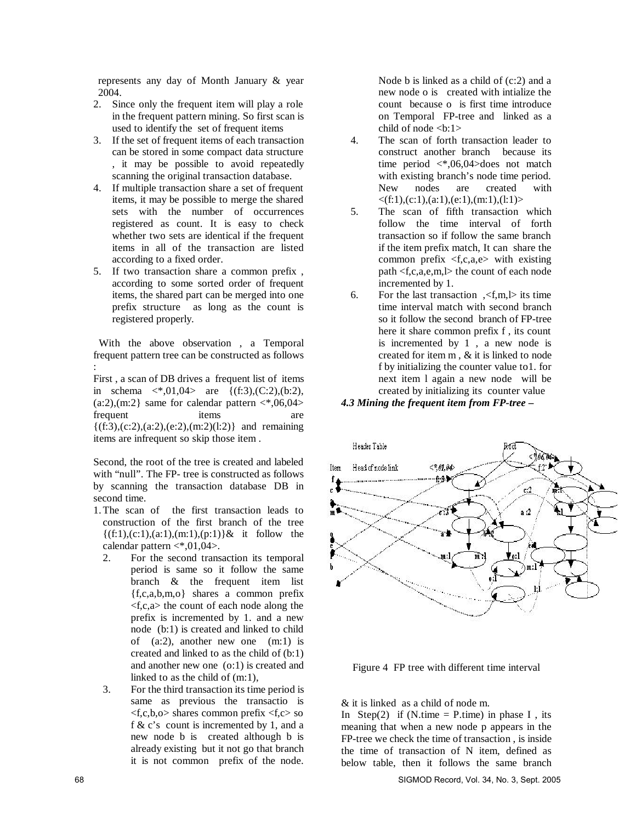represents any day of Month January & year 2004.

- 2. Since only the frequent item will play a role in the frequent pattern mining. So first scan is used to identify the set of frequent items
- 3. If the set of frequent items of each transaction can be stored in some compact data structure , it may be possible to avoid repeatedly scanning the original transaction database.
- 4. If multiple transaction share a set of frequent items, it may be possible to merge the shared sets with the number of occurrences registered as count. It is easy to check whether two sets are identical if the frequent items in all of the transaction are listed according to a fixed order.
- 5. If two transaction share a common prefix , according to some sorted order of frequent items, the shared part can be merged into one prefix structure as long as the count is registered properly.

 With the above observation , a Temporal frequent pattern tree can be constructed as follows :

First , a scan of DB drives a frequent list of items in schema  $\langle *,01,04 \rangle$  are  $\{(\text{f}:3), (\text{C}:2), (\text{b}:2), ...\}$  $(a:2),(m:2)$  same for calendar pattern  $\langle *,06,04 \rangle$ frequent items are  $\{(f:3),(c:2),(a:2),(e:2),(m:2)(l:2)\}\$ and remaining items are infrequent so skip those item .

Second, the root of the tree is created and labeled with "null". The FP- tree is constructed as follows by scanning the transaction database DB in second time.

- 1.The scan of the first transaction leads to construction of the first branch of the tree  $\{(f:1),(c:1),(a:1),(m:1),(p:1)\}\&\text{ it follow the}$ calendar pattern <\*,01,04>.
	- 2. For the second transaction its temporal period is same so it follow the same branch & the frequent item list {f,c,a,b,m,o} shares a common prefix  $\langle f,c,a \rangle$  the count of each node along the prefix is incremented by 1. and a new node (b:1) is created and linked to child of (a:2), another new one (m:1) is created and linked to as the child of (b:1) and another new one (o:1) is created and linked to as the child of (m:1),
	- 3. For the third transaction its time period is same as previous the transactio is  $\langle f,c,b,o \rangle$  shares common prefix  $\langle f,c \rangle$  so f & c's count is incremented by 1, and a new node b is created although b is already existing but it not go that branch it is not common prefix of the node.

Node b is linked as a child of (c:2) and a new node o is created with intialize the count because o is first time introduce on Temporal FP-tree and linked as a child of node  $$ 

- 4. The scan of forth transaction leader to construct another branch because its time period <\*,06,04>does not match with existing branch's node time period.<br>New nodes are created with New nodes are created  $\langle (f:1),(c:1),(a:1),(e:1),(m:1),(l:1)\rangle$
- 5. The scan of fifth transaction which follow the time interval of forth transaction so if follow the same branch if the item prefix match, It can share the common prefix <f,c,a,e> with existing path <f,c,a,e,m,l> the count of each node incremented by 1.
- 6. For the last transaction  $\zeta$ ,  $\zeta$ ,  $\zeta$ ,  $\zeta$ ,  $\zeta$  its time time interval match with second branch so it follow the second branch of FP-tree here it share common prefix f , its count is incremented by 1 , a new node is created for item m , & it is linked to node f by initializing the counter value to1. for next item l again a new node will be created by initializing its counter value

*4.3 Mining the frequent item from FP-tree –*



Figure 4 FP tree with different time interval

& it is linked as a child of node m.

In Step(2) if (N.time = P.time) in phase I, its meaning that when a new node p appears in the FP-tree we check the time of transaction , is inside the time of transaction of N item, defined as below table, then it follows the same branch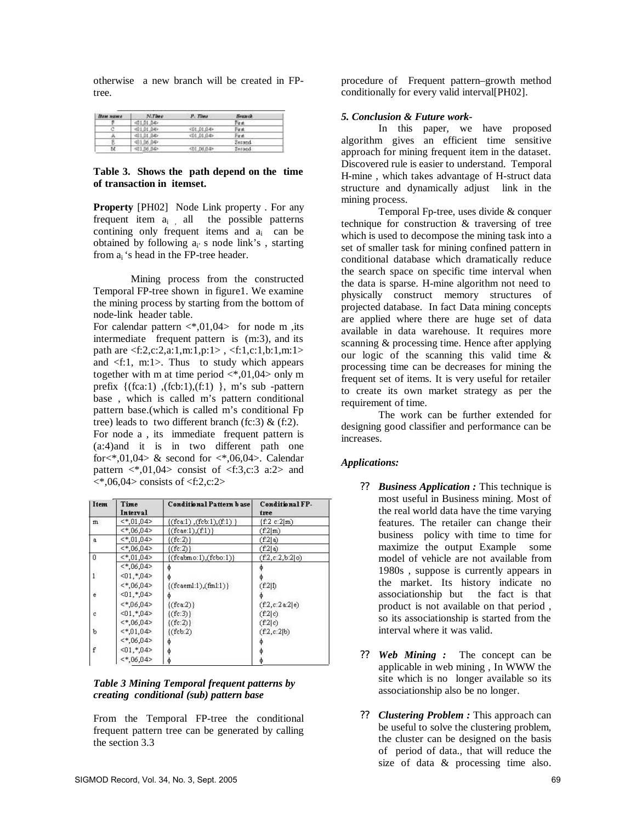otherwise a new branch will be created in FPtree.

| Вам жаны                 | N.Tone      | P. Time      | <b>Brazeck</b> |
|--------------------------|-------------|--------------|----------------|
| в                        | $-01.01.04$ |              | First          |
|                          | 401.01.04>  | $401.01.04*$ | Final          |
| n                        | $-01.01.04$ | $-01.01.04$  | First          |
| ٠<br>В<br><b>Service</b> | 401.06.04>  |              | Second         |
| м                        | <01.06.04>  | 401.06.04    | Serond         |

#### **Table 3. Shows the path depend on the time of transaction in itemset.**

**Property** [PH02] Node Link property . For any frequent item  $a_i$  all the possible patterns contining only frequent items and  $a_i$  can be obtained by following  $a_i$ ' s node link's, starting from  $a_i$  's head in the FP-tree header.

Mining process from the constructed Temporal FP-tree shown in figure1. We examine the mining process by starting from the bottom of node-link header table.

For calendar pattern  $\langle *,01,04 \rangle$  for node m ,its intermediate frequent pattern is (m:3), and its path are <f:2,c:2,a:1,m:1,p:1> , <f:1,c:1,b:1,m:1> and <f:1, m:1>. Thus to study which appears together with m at time period  $\langle 0.04 \rangle$  only m prefix  $\{(fca:1), (fcb:1), (f:1), m\$  s sub -pattern base , which is called m's pattern conditional pattern base.(which is called m's conditional Fp tree) leads to two different branch (fc:3)  $\&$  (f:2). For node a , its immediate frequent pattern is (a:4)and it is in two different path one for $\lt^*$ .01.04 $\gt \&$  second for  $\lt^*$ .06.04 $\gt$ . Calendar pattern  $\langle 0.04 \rangle$  consist of  $\langle 1.3, c:3 \rangle$  a:2 and  $\langle 0.04 \rangle$  consists of  $\langle 1.2, c: 2 \rangle$ 

| Item         | Time<br>Interval | Conditional Pattern base    | Conditional FP-<br>tree |
|--------------|------------------|-----------------------------|-------------------------|
| m            | $<$ *,01,04>     | ${(fca:1), (fcb:1), (f:1)}$ | (f.2 c:2 m)             |
|              | $<$ *,06,04>     | ${(fcae:1),(f:1)}$          | (f:2 m)                 |
| a            | $\lt$ *,01,04>   | $\{(fc:2)\}\)$              | (f:2 a)                 |
|              | $<$ *.06.04>     | $\{(fc:2)\}\$               | (f2 a)                  |
| 0            | $\lt$ *,01,04>   | $\{(fcabmo:1),(fobo:1)\}$   | (f.2, c.2, b.2 o)       |
|              | $<$ *,06,04>     |                             |                         |
| $\mathbf{1}$ | $< 01, *04$      |                             |                         |
|              | $<$ *.06.04>     | ${(fceem1:1),(fm1:1)}$      | (f:2 1)                 |
| e            | $<01,*04>$       |                             |                         |
|              | $<$ *.06.04>     | $\{($ fca:2 $)\}$           | (f2,c:2a:2 e)           |
| c            | $< 01, *04$      | $\{(fc:3)\}\$               | (f:2 c)                 |
|              | $<$ *,06,04>     | $\{(fc:2)\}\$               | (f:2 c)                 |
| b            | $\leq 0.04$      | $({\text{fcb:2}})$          | (f.2, c.2 b)            |
|              | $<$ *,06,04>     |                             |                         |
| f            | $< 01, *04$      |                             |                         |
|              | $<$ *,06,04>     |                             |                         |

### *Table 3 Mining Temporal frequent patterns by creating conditional (sub) pattern base*

From the Temporal FP-tree the conditional frequent pattern tree can be generated by calling the section 3.3

procedure of Frequent pattern–growth method conditionally for every valid interval[PH02].

## *5. Conclusion & Future work-*

In this paper, we have proposed algorithm gives an efficient time sensitive approach for mining frequent item in the dataset. Discovered rule is easier to understand. Temporal H-mine , which takes advantage of H-struct data structure and dynamically adjust link in the mining process.

Temporal Fp-tree, uses divide & conquer technique for construction & traversing of tree which is used to decompose the mining task into a set of smaller task for mining confined pattern in conditional database which dramatically reduce the search space on specific time interval when the data is sparse. H-mine algorithm not need to physically construct memory structures of projected database. In fact Data mining concepts are applied where there are huge set of data available in data warehouse. It requires more scanning & processing time. Hence after applying our logic of the scanning this valid time & processing time can be decreases for mining the frequent set of items. It is very useful for retailer to create its own market strategy as per the requirement of time.

The work can be further extended for designing good classifier and performance can be increases.

## *Applications:*

- ? ? *Business Application :* This technique is most useful in Business mining. Most of the real world data have the time varying features. The retailer can change their business policy with time to time for maximize the output Example some model of vehicle are not available from 1980s , suppose is currently appears in the market. Its history indicate no associationship but the fact is that product is not available on that period , so its associationship is started from the interval where it was valid.
- ? ? *Web Mining :* The concept can be applicable in web mining , In WWW the site which is no longer available so its associationship also be no longer.
- ? ? *Clustering Problem :* This approach can be useful to solve the clustering problem, the cluster can be designed on the basis of period of data., that will reduce the size of data & processing time also.